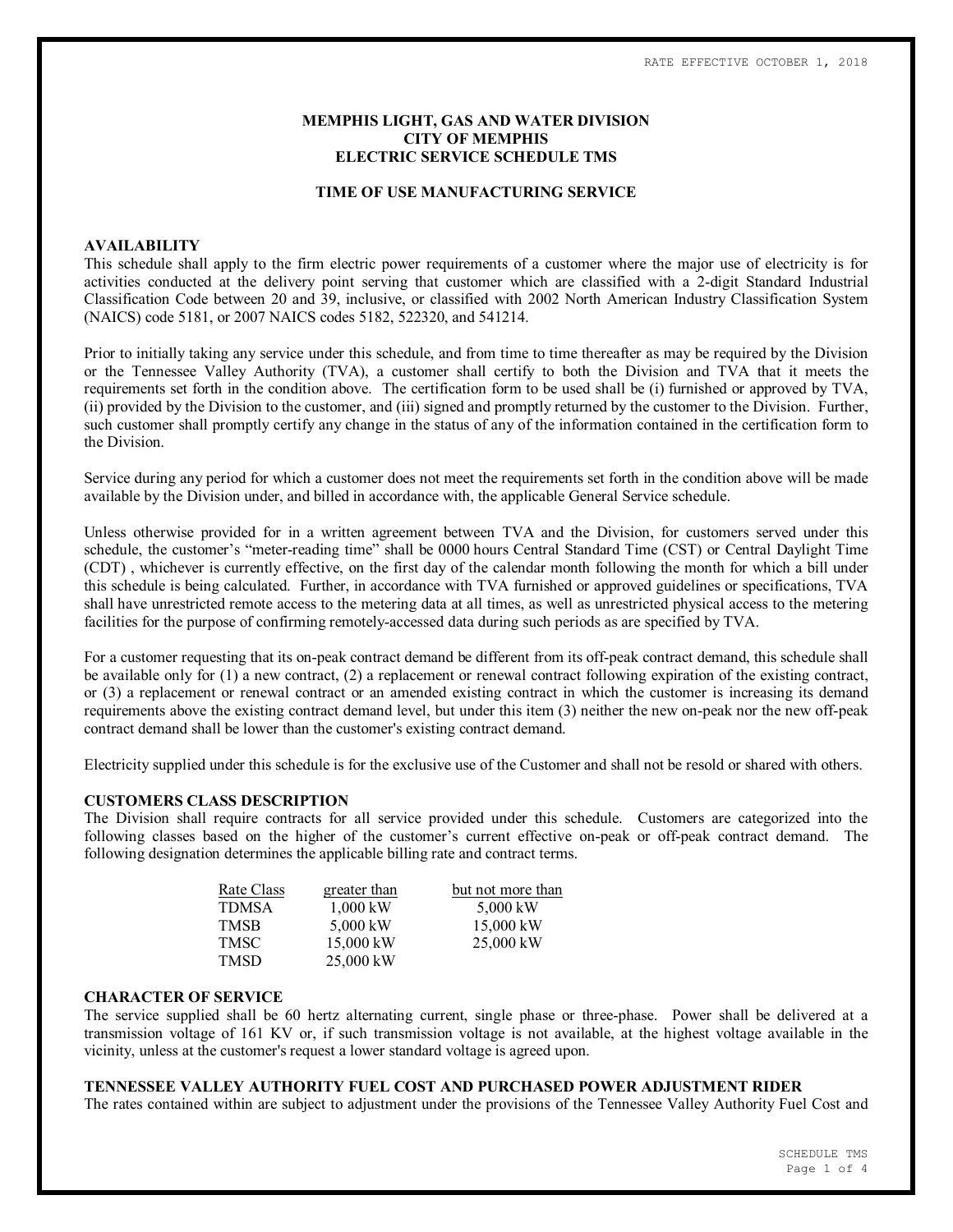### **MEMPHIS LIGHT, GAS AND WATER DIVISION CITY OF MEMPHIS ELECTRIC SERVICE SCHEDULE TMS**

#### **TIME OF USE MANUFACTURING SERVICE**

#### **AVAILABILITY**

This schedule shall apply to the firm electric power requirements of a customer where the major use of electricity is for activities conducted at the delivery point serving that customer which are classified with a 2-digit Standard Industrial Classification Code between 20 and 39, inclusive, or classified with 2002 North American Industry Classification System (NAICS) code 5181, or 2007 NAICS codes 5182, 522320, and 541214.

Prior to initially taking any service under this schedule, and from time to time thereafter as may be required by the Division or the Tennessee Valley Authority (TVA), a customer shall certify to both the Division and TVA that it meets the requirements set forth in the condition above. The certification form to be used shall be (i) furnished or approved by TVA, (ii) provided by the Division to the customer, and (iii) signed and promptly returned by the customer to the Division. Further, such customer shall promptly certify any change in the status of any of the information contained in the certification form to the Division.

Service during any period for which a customer does not meet the requirements set forth in the condition above will be made available by the Division under, and billed in accordance with, the applicable General Service schedule.

Unless otherwise provided for in a written agreement between TVA and the Division, for customers served under this schedule, the customer's "meter-reading time" shall be 0000 hours Central Standard Time (CST) or Central Daylight Time (CDT) , whichever is currently effective, on the first day of the calendar month following the month for which a bill under this schedule is being calculated. Further, in accordance with TVA furnished or approved guidelines or specifications, TVA shall have unrestricted remote access to the metering data at all times, as well as unrestricted physical access to the metering facilities for the purpose of confirming remotely-accessed data during such periods as are specified by TVA.

For a customer requesting that its on-peak contract demand be different from its off-peak contract demand, this schedule shall be available only for (1) a new contract, (2) a replacement or renewal contract following expiration of the existing contract, or (3) a replacement or renewal contract or an amended existing contract in which the customer is increasing its demand requirements above the existing contract demand level, but under this item (3) neither the new on-peak nor the new off-peak contract demand shall be lower than the customer's existing contract demand.

Electricity supplied under this schedule is for the exclusive use of the Customer and shall not be resold or shared with others.

#### **CUSTOMERS CLASS DESCRIPTION**

The Division shall require contracts for all service provided under this schedule. Customers are categorized into the following classes based on the higher of the customer's current effective on-peak or off-peak contract demand. The following designation determines the applicable billing rate and contract terms.

| Rate Class | greater than | but not more than |
|------------|--------------|-------------------|
| TDMSA      | $1,000$ kW   | 5,000 kW          |
| TMSB       | 5,000 kW     | $15,000$ kW       |
| TMSC       | 15,000 kW    | $25,000$ kW       |
| TMSD       | 25,000 kW    |                   |

#### **CHARACTER OF SERVICE**

The service supplied shall be 60 hertz alternating current, single phase or three-phase. Power shall be delivered at a transmission voltage of 161 KV or, if such transmission voltage is not available, at the highest voltage available in the vicinity, unless at the customer's request a lower standard voltage is agreed upon.

# **TENNESSEE VALLEY AUTHORITY FUEL COST AND PURCHASED POWER ADJUSTMENT RIDER**

The rates contained within are subject to adjustment under the provisions of the Tennessee Valley Authority Fuel Cost and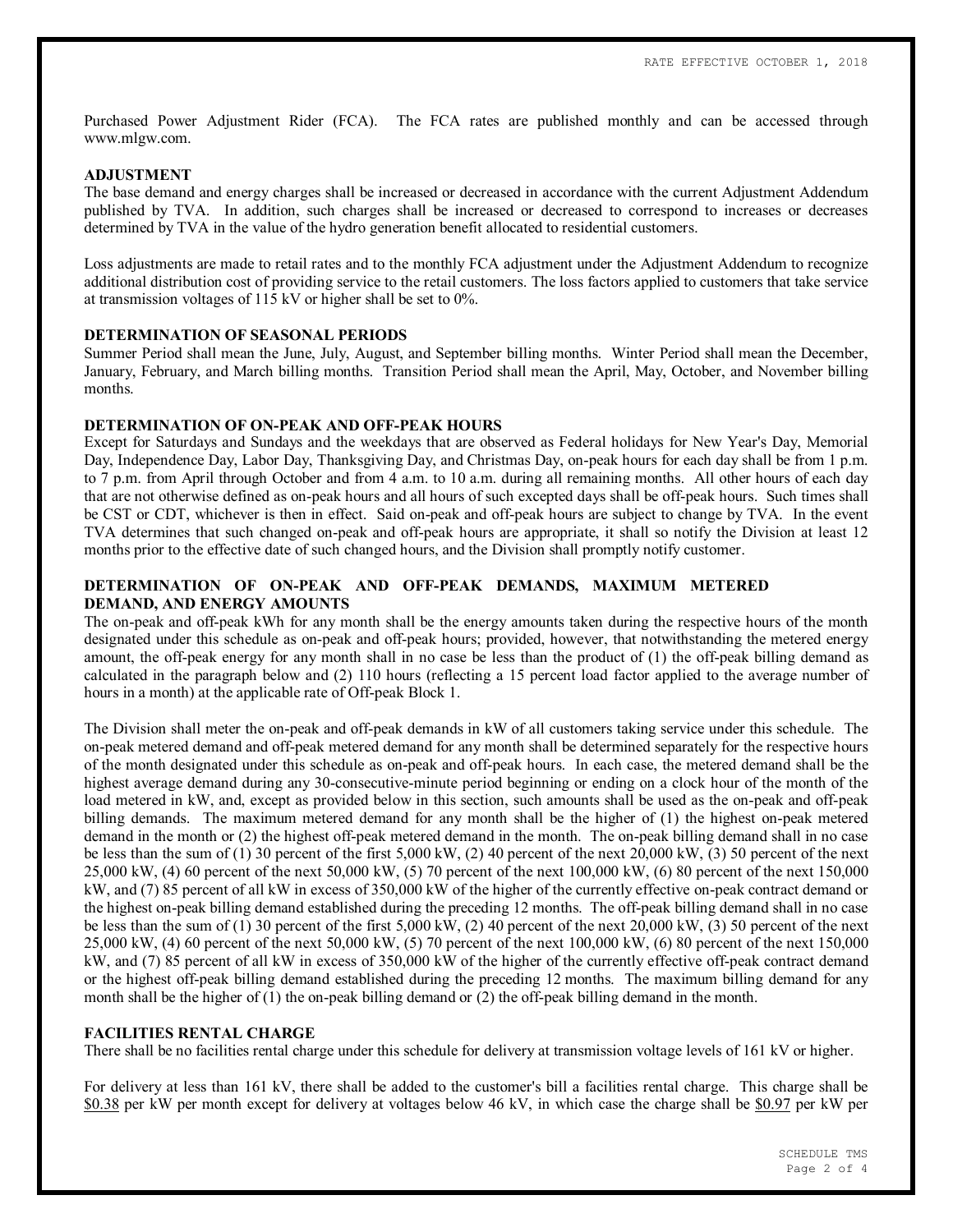Purchased Power Adjustment Rider (FCA). The FCA rates are published monthly and can be accessed through www.mlgw.com.

### **ADJUSTMENT**

The base demand and energy charges shall be increased or decreased in accordance with the current Adjustment Addendum published by TVA. In addition, such charges shall be increased or decreased to correspond to increases or decreases determined by TVA in the value of the hydro generation benefit allocated to residential customers.

Loss adjustments are made to retail rates and to the monthly FCA adjustment under the Adjustment Addendum to recognize additional distribution cost of providing service to the retail customers. The loss factors applied to customers that take service at transmission voltages of 115 kV or higher shall be set to 0%.

### **DETERMINATION OF SEASONAL PERIODS**

Summer Period shall mean the June, July, August, and September billing months. Winter Period shall mean the December, January, February, and March billing months. Transition Period shall mean the April, May, October, and November billing months.

### **DETERMINATION OF ON-PEAK AND OFF-PEAK HOURS**

Except for Saturdays and Sundays and the weekdays that are observed as Federal holidays for New Year's Day, Memorial Day, Independence Day, Labor Day, Thanksgiving Day, and Christmas Day, on-peak hours for each day shall be from 1 p.m. to 7 p.m. from April through October and from 4 a.m. to 10 a.m. during all remaining months. All other hours of each day that are not otherwise defined as on-peak hours and all hours of such excepted days shall be off-peak hours. Such times shall be CST or CDT, whichever is then in effect. Said on-peak and off-peak hours are subject to change by TVA. In the event TVA determines that such changed on-peak and off-peak hours are appropriate, it shall so notify the Division at least 12 months prior to the effective date of such changed hours, and the Division shall promptly notify customer.

### **DETERMINATION OF ON-PEAK AND OFF-PEAK DEMANDS, MAXIMUM METERED DEMAND, AND ENERGY AMOUNTS**

The on-peak and off-peak kWh for any month shall be the energy amounts taken during the respective hours of the month designated under this schedule as on-peak and off-peak hours; provided, however, that notwithstanding the metered energy amount, the off-peak energy for any month shall in no case be less than the product of (1) the off-peak billing demand as calculated in the paragraph below and (2) 110 hours (reflecting a 15 percent load factor applied to the average number of hours in a month) at the applicable rate of Off-peak Block 1.

The Division shall meter the on-peak and off-peak demands in kW of all customers taking service under this schedule. The on-peak metered demand and off-peak metered demand for any month shall be determined separately for the respective hours of the month designated under this schedule as on-peak and off-peak hours. In each case, the metered demand shall be the highest average demand during any 30-consecutive-minute period beginning or ending on a clock hour of the month of the load metered in kW, and, except as provided below in this section, such amounts shall be used as the on-peak and off-peak billing demands. The maximum metered demand for any month shall be the higher of (1) the highest on-peak metered demand in the month or (2) the highest off-peak metered demand in the month. The on-peak billing demand shall in no case be less than the sum of (1) 30 percent of the first 5,000 kW, (2) 40 percent of the next 20,000 kW, (3) 50 percent of the next 25,000 kW, (4) 60 percent of the next 50,000 kW, (5) 70 percent of the next 100,000 kW, (6) 80 percent of the next 150,000 kW, and (7) 85 percent of all kW in excess of 350,000 kW of the higher of the currently effective on-peak contract demand or the highest on-peak billing demand established during the preceding 12 months. The off-peak billing demand shall in no case be less than the sum of (1) 30 percent of the first 5,000 kW, (2) 40 percent of the next 20,000 kW, (3) 50 percent of the next 25,000 kW, (4) 60 percent of the next 50,000 kW, (5) 70 percent of the next 100,000 kW, (6) 80 percent of the next 150,000 kW, and (7) 85 percent of all kW in excess of 350,000 kW of the higher of the currently effective off-peak contract demand or the highest off-peak billing demand established during the preceding 12 months. The maximum billing demand for any month shall be the higher of (1) the on-peak billing demand or (2) the off-peak billing demand in the month.

### **FACILITIES RENTAL CHARGE**

There shall be no facilities rental charge under this schedule for delivery at transmission voltage levels of 161 kV or higher.

For delivery at less than 161 kV, there shall be added to the customer's bill a facilities rental charge. This charge shall be \$0.38 per kW per month except for delivery at voltages below 46 kV, in which case the charge shall be \$0.97 per kW per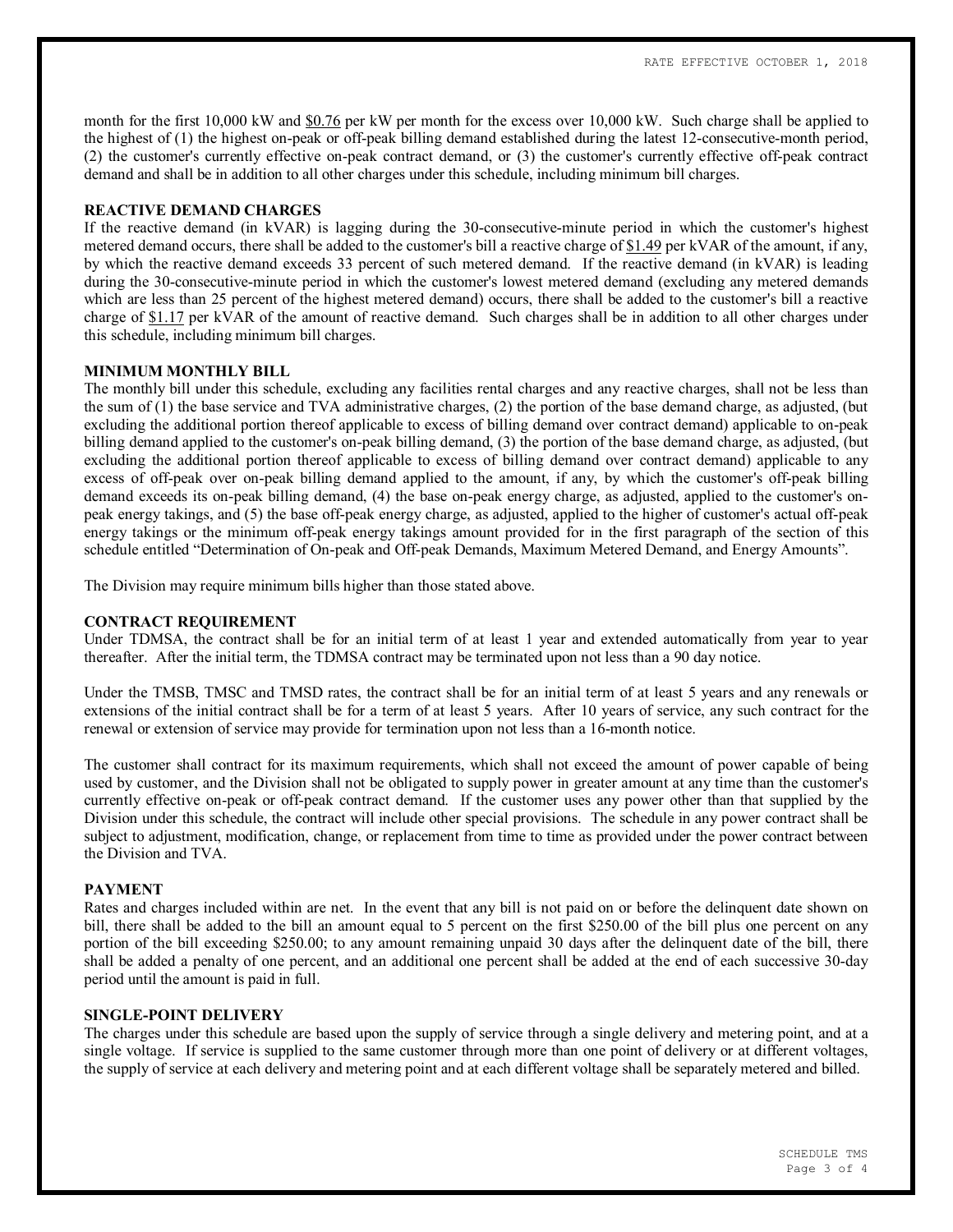month for the first 10,000 kW and \$0.76 per kW per month for the excess over 10,000 kW. Such charge shall be applied to the highest of (1) the highest on-peak or off-peak billing demand established during the latest 12-consecutive-month period, (2) the customer's currently effective on-peak contract demand, or (3) the customer's currently effective off-peak contract demand and shall be in addition to all other charges under this schedule, including minimum bill charges.

### **REACTIVE DEMAND CHARGES**

If the reactive demand (in kVAR) is lagging during the 30-consecutive-minute period in which the customer's highest metered demand occurs, there shall be added to the customer's bill a reactive charge of \$1.49 per kVAR of the amount, if any, by which the reactive demand exceeds 33 percent of such metered demand. If the reactive demand (in kVAR) is leading during the 30-consecutive-minute period in which the customer's lowest metered demand (excluding any metered demands which are less than 25 percent of the highest metered demand) occurs, there shall be added to the customer's bill a reactive charge of \$1.17 per kVAR of the amount of reactive demand. Such charges shall be in addition to all other charges under this schedule, including minimum bill charges.

### **MINIMUM MONTHLY BILL**

The monthly bill under this schedule, excluding any facilities rental charges and any reactive charges, shall not be less than the sum of (1) the base service and TVA administrative charges, (2) the portion of the base demand charge, as adjusted, (but excluding the additional portion thereof applicable to excess of billing demand over contract demand) applicable to on-peak billing demand applied to the customer's on-peak billing demand, (3) the portion of the base demand charge, as adjusted, (but excluding the additional portion thereof applicable to excess of billing demand over contract demand) applicable to any excess of off-peak over on-peak billing demand applied to the amount, if any, by which the customer's off-peak billing demand exceeds its on-peak billing demand, (4) the base on-peak energy charge, as adjusted, applied to the customer's onpeak energy takings, and (5) the base off-peak energy charge, as adjusted, applied to the higher of customer's actual off-peak energy takings or the minimum off-peak energy takings amount provided for in the first paragraph of the section of this schedule entitled "Determination of On-peak and Off-peak Demands, Maximum Metered Demand, and Energy Amounts".

The Division may require minimum bills higher than those stated above.

# **CONTRACT REQUIREMENT**

Under TDMSA, the contract shall be for an initial term of at least 1 year and extended automatically from year to year thereafter. After the initial term, the TDMSA contract may be terminated upon not less than a 90 day notice.

Under the TMSB, TMSC and TMSD rates, the contract shall be for an initial term of at least 5 years and any renewals or extensions of the initial contract shall be for a term of at least 5 years. After 10 years of service, any such contract for the renewal or extension of service may provide for termination upon not less than a 16-month notice.

The customer shall contract for its maximum requirements, which shall not exceed the amount of power capable of being used by customer, and the Division shall not be obligated to supply power in greater amount at any time than the customer's currently effective on-peak or off-peak contract demand. If the customer uses any power other than that supplied by the Division under this schedule, the contract will include other special provisions. The schedule in any power contract shall be subject to adjustment, modification, change, or replacement from time to time as provided under the power contract between the Division and TVA.

### **PAYMENT**

Rates and charges included within are net. In the event that any bill is not paid on or before the delinquent date shown on bill, there shall be added to the bill an amount equal to 5 percent on the first \$250.00 of the bill plus one percent on any portion of the bill exceeding \$250.00; to any amount remaining unpaid 30 days after the delinquent date of the bill, there shall be added a penalty of one percent, and an additional one percent shall be added at the end of each successive 30-day period until the amount is paid in full.

### **SINGLE-POINT DELIVERY**

The charges under this schedule are based upon the supply of service through a single delivery and metering point, and at a single voltage. If service is supplied to the same customer through more than one point of delivery or at different voltages, the supply of service at each delivery and metering point and at each different voltage shall be separately metered and billed.